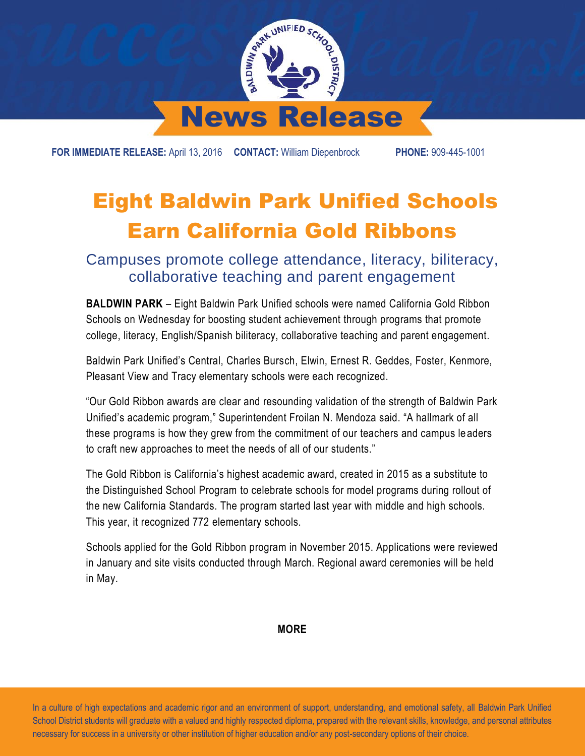

**FOR IMMEDIATE RELEASE:** April 13, 2016 **CONTACT:** William Diepenbrock **PHONE:** 909-445-1001

## Eight Baldwin Park Unified Schools Earn California Gold Ribbons

Campuses promote college attendance, literacy, biliteracy, collaborative teaching and parent engagement

**BALDWIN PARK** – Eight Baldwin Park Unified schools were named California Gold Ribbon Schools on Wednesday for boosting student achievement through programs that promote college, literacy, English/Spanish biliteracy, collaborative teaching and parent engagement.

Baldwin Park Unified's Central, Charles Bursch, Elwin, Ernest R. Geddes, Foster, Kenmore, Pleasant View and Tracy elementary schools were each recognized.

"Our Gold Ribbon awards are clear and resounding validation of the strength of Baldwin Park Unified's academic program," Superintendent Froilan N. Mendoza said. "A hallmark of all these programs is how they grew from the commitment of our teachers and campus leaders to craft new approaches to meet the needs of all of our students."

The Gold Ribbon is California's highest academic award, created in 2015 as a substitute to the Distinguished School Program to celebrate schools for model programs during rollout of the new California Standards. The program started last year with middle and high schools. This year, it recognized 772 elementary schools.

Schools applied for the Gold Ribbon program in November 2015. Applications were reviewed in January and site visits conducted through March. Regional award ceremonies will be held in May.

**MORE**

 In a culture of high expectations and academic rigor and an environment of support, understanding, and emotional safety, all Baldwin Park Unified School District students will graduate with a valued and highly respected diploma, prepared with the relevant skills, knowledge, and personal attributes necessary for success in a university or other institution of higher education and/or any post-secondary options of their choice.